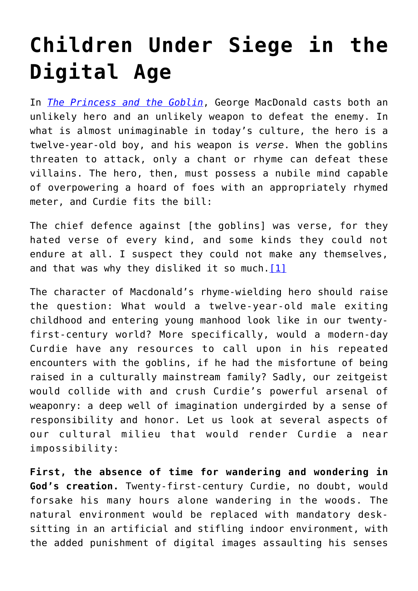## **[Children Under Siege in the](https://intellectualtakeout.org/2020/01/children-under-siege-in-the-digital-age/) [Digital Age](https://intellectualtakeout.org/2020/01/children-under-siege-in-the-digital-age/)**

In *[The Princess and the Goblin](https://smile.amazon.com/Princess-Goblin-Puffin-Classics/dp/0141332484/ref=sr_1_2?ie=UTF8&qid=1527275990&sr=8-2&keywords=The+Princess+and+the+Goblin)*, George MacDonald casts both an unlikely hero and an unlikely weapon to defeat the enemy. In what is almost unimaginable in today's culture, the hero is a twelve-year-old boy, and his weapon is *verse*. When the goblins threaten to attack, only a chant or rhyme can defeat these villains. The hero, then, must possess a nubile mind capable of overpowering a hoard of foes with an appropriately rhymed meter, and Curdie fits the bill:

The chief defence against [the goblins] was verse, for they hated verse of every kind, and some kinds they could not endure at all. I suspect they could not make any themselves, and that was why they disliked it so much.  $[1]$ 

The character of Macdonald's rhyme-wielding hero should raise the question: What would a twelve-year-old male exiting childhood and entering young manhood look like in our twentyfirst-century world? More specifically, would a modern-day Curdie have any resources to call upon in his repeated encounters with the goblins, if he had the misfortune of being raised in a culturally mainstream family? Sadly, our zeitgeist would collide with and crush Curdie's powerful arsenal of weaponry: a deep well of imagination undergirded by a sense of responsibility and honor. Let us look at several aspects of our cultural milieu that would render Curdie a near impossibility:

**First, the absence of time for wandering and wondering in God's creation.** Twenty-first-century Curdie, no doubt, would forsake his many hours alone wandering in the woods. The natural environment would be replaced with mandatory desksitting in an artificial and stifling indoor environment, with the added punishment of digital images assaulting his senses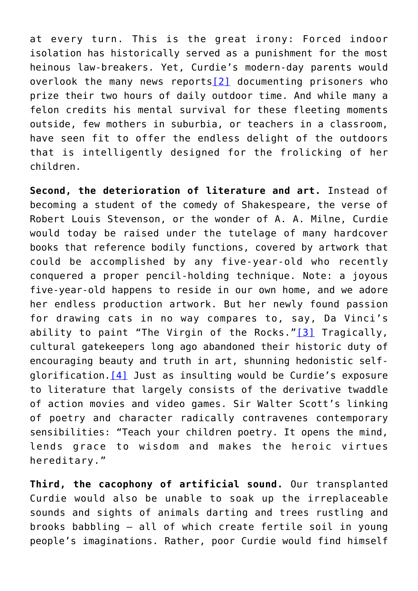at every turn. This is the great irony: Forced indoor isolation has historically served as a punishment for the most heinous law-breakers. Yet, Curdie's modern-day parents would overlook the many news reports[\[2\]](https://theimaginativeconservative.org/2018/05/children-under-siege-digital-age-allison-burr.html#_ftn2) documenting prisoners who prize their two hours of daily outdoor time. And while many a felon credits his mental survival for these fleeting moments outside, few mothers in suburbia, or teachers in a classroom, have seen fit to offer the endless delight of the outdoors that is intelligently designed for the frolicking of her children.

**Second, the deterioration of literature and art.** Instead of becoming a student of the comedy of Shakespeare, the verse of Robert Louis Stevenson, or the wonder of A. A. Milne, Curdie would today be raised under the tutelage of many hardcover books that reference bodily functions, covered by artwork that could be accomplished by any five-year-old who recently conquered a proper pencil-holding technique. Note: a joyous five-year-old happens to reside in our own home, and we adore her endless production artwork. But her newly found passion for drawing cats in no way compares to, say, Da Vinci's ability to paint "The Virgin of the Rocks." $[3]$  Tragically, cultural gatekeepers long ago abandoned their historic duty of encouraging beauty and truth in art, shunning hedonistic selfglorification[.\[4\]](https://theimaginativeconservative.org/2018/05/children-under-siege-digital-age-allison-burr.html#_ftn4) Just as insulting would be Curdie's exposure to literature that largely consists of the derivative twaddle of action movies and video games. Sir Walter Scott's linking of poetry and character radically contravenes contemporary sensibilities: "Teach your children poetry. It opens the mind, lends grace to wisdom and makes the heroic virtues hereditary."

**Third, the cacophony of artificial sound.** Our transplanted Curdie would also be unable to soak up the irreplaceable sounds and sights of animals darting and trees rustling and brooks babbling – all of which create fertile soil in young people's imaginations. Rather, poor Curdie would find himself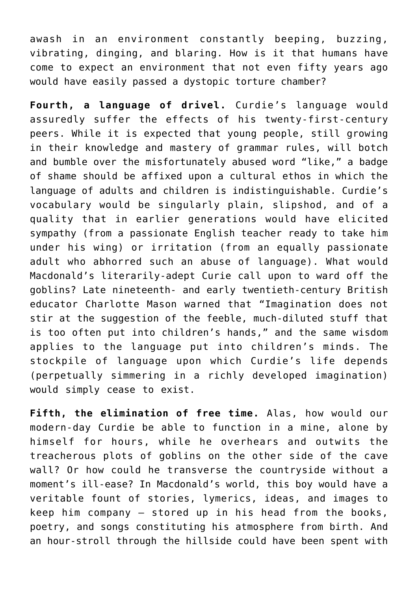awash in an environment constantly beeping, buzzing, vibrating, dinging, and blaring. How is it that humans have come to expect an environment that not even fifty years ago would have easily passed a dystopic torture chamber?

**Fourth, a language of drivel.** Curdie's language would assuredly suffer the effects of his twenty-first-century peers. While it is expected that young people, still growing in their knowledge and mastery of grammar rules, will botch and bumble over the misfortunately abused word "like," a badge of shame should be affixed upon a cultural ethos in which the language of adults and children is indistinguishable. Curdie's vocabulary would be singularly plain, slipshod, and of a quality that in earlier generations would have elicited sympathy (from a passionate English teacher ready to take him under his wing) or irritation (from an equally passionate adult who abhorred such an abuse of language). What would Macdonald's literarily-adept Curie call upon to ward off the goblins? Late nineteenth- and early twentieth-century British educator Charlotte Mason warned that "Imagination does not stir at the suggestion of the feeble, much-diluted stuff that is too often put into children's hands," and the same wisdom applies to the language put into children's minds. The stockpile of language upon which Curdie's life depends (perpetually simmering in a richly developed imagination) would simply cease to exist.

**Fifth, the elimination of free time.** Alas, how would our modern-day Curdie be able to function in a mine, alone by himself for hours, while he overhears and outwits the treacherous plots of goblins on the other side of the cave wall? Or how could he transverse the countryside without a moment's ill-ease? In Macdonald's world, this boy would have a veritable fount of stories, lymerics, ideas, and images to keep him company – stored up in his head from the books, poetry, and songs constituting his atmosphere from birth. And an hour-stroll through the hillside could have been spent with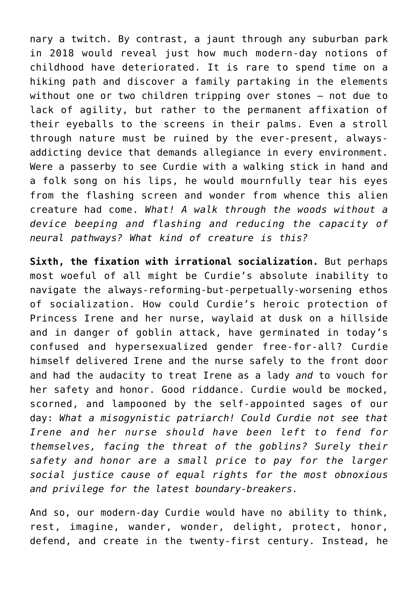nary a twitch. By contrast, a jaunt through any suburban park in 2018 would reveal just how much modern-day notions of childhood have deteriorated. It is rare to spend time on a hiking path and discover a family partaking in the elements without one or two children tripping over stones – not due to lack of agility, but rather to the permanent affixation of their eyeballs to the screens in their palms. Even a stroll through nature must be ruined by the ever-present, alwaysaddicting device that demands allegiance in every environment. Were a passerby to see Curdie with a walking stick in hand and a folk song on his lips, he would mournfully tear his eyes from the flashing screen and wonder from whence this alien creature had come. *What! A walk through the woods without a device beeping and flashing and reducing the capacity of neural pathways? What kind of creature is this?*

**Sixth, the fixation with irrational socialization.** But perhaps most woeful of all might be Curdie's absolute inability to navigate the always-reforming-but-perpetually-worsening ethos of socialization. How could Curdie's heroic protection of Princess Irene and her nurse, waylaid at dusk on a hillside and in danger of goblin attack, have germinated in today's confused and hypersexualized gender free-for-all? Curdie himself delivered Irene and the nurse safely to the front door and had the audacity to treat Irene as a lady *and* to vouch for her safety and honor. Good riddance. Curdie would be mocked, scorned, and lampooned by the self-appointed sages of our day: *What a misogynistic patriarch! Could Curdie not see that Irene and her nurse should have been left to fend for themselves, facing the threat of the goblins? Surely their safety and honor are a small price to pay for the larger social justice cause of equal rights for the most obnoxious and privilege for the latest boundary-breakers.*

And so, our modern-day Curdie would have no ability to think, rest, imagine, wander, wonder, delight, protect, honor, defend, and create in the twenty-first century. Instead, he